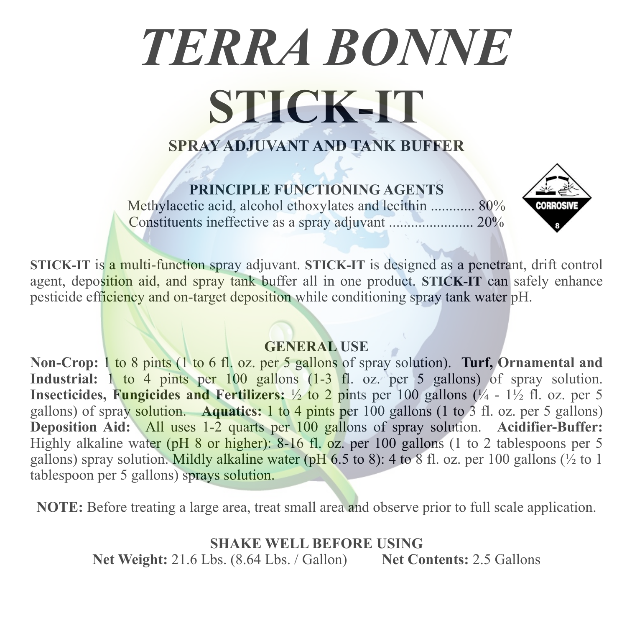# *TERRA BONNE* **STICK-IT**

# **SPRAY ADJUVANT AND TANK BUFFER**

## **PRINCIPLE FUNCTIONING AGENTS**

Methylacetic acid, alcohol ethoxylates and lecithin ............ 80% Constituents ineffective as a spray adjuvant ....................... 20%



**STICK-IT** is a multi-function spray adjuvant. **STICK-IT** is designed as a penetrant, drift control agent, deposition aid, and spray tank buffer all in one product. **STICK-IT** can safely enhance pesticide efficiency and on-target deposition while conditioning spray tank water pH.

## **GENERAL USE**

**Non-Crop:** 1 to 8 pints (1 to 6 fl. oz. per 5 gallons of spray solution). **Turf, Ornamental and**  Industrial: 1 to 4 pints per 100 gallons (1-3 fl. oz. per 5 gallons) of spray solution. **Insecticides, Fungicides and Fertilizers:** ½ to 2 pints per 100 gallons (¼ - 1½ fl. oz. per 5 gallons) of spray solution. **Aquatics:** 1 to 4 pints per 100 gallons (1 to 3 fl. oz. per 5 gallons) **Deposition Aid:** All uses 1-2 quarts per 100 gallons of spray solution. **Acidifier-Buffer:** Highly alkaline water (pH 8 or higher): 8-16 fl. oz. per 100 gallons (1 to 2 tablespoons per 5 gallons) spray solution. Mildly alkaline water (pH 6.5 to 8): 4 to 8 fl. oz. per 100 gallons ( $\frac{1}{2}$  to 1 tablespoon per 5 gallons) sprays solution.

**NOTE:** Before treating a large area, treat small area and observe prior to full scale application.

**SHAKE WELL BEFORE USING Net Weight:** 21.6 Lbs. (8.64 Lbs. / Gallon) **Net Contents:** 2.5 Gallons